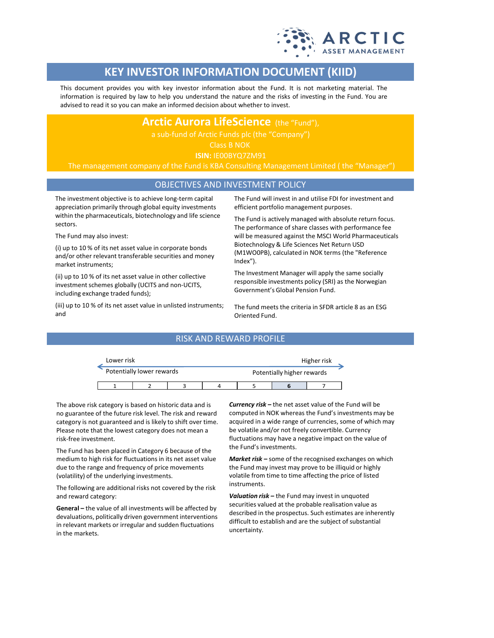

# **KEY INVESTOR INFORMATION DOCUMENT (KIID)**

This document provides you with key investor information about the Fund. It is not marketing material. The information is required by law to help you understand the nature and the risks of investing in the Fund. You are advised to read it so you can make an informed decision about whether to invest.

**Arctic Aurora LifeScience** (the "Fund"),

Class B NOK

**ISIN:** IE00BYQ7ZM91

The management company of the Fund is KBA Consulting Management Limited ( the "Manager")

## OBJECTIVES AND INVESTMENT POLICY

The investment objective is to achieve long-term capital appreciation primarily through global equity investments within the pharmaceuticals, biotechnology and life science sectors.

The Fund may also invest:

(i) up to 10 % of its net asset value in corporate bonds and/or other relevant transferable securities and money market instruments;

(ii) up to 10 % of its net asset value in other collective investment schemes globally (UCITS and non-UCITS, including exchange traded funds);

(iii) up to 10 % of its net asset value in unlisted instruments; and

The Fund will invest in and utilise FDI for investment and efficient portfolio management purposes.

The Fund is actively managed with absolute return focus. The performance of share classes with performance fee will be measured against the MSCI World Pharmaceuticals Biotechnology & Life Sciences Net Return USD (M1WO0PB), calculated in NOK terms (the "Reference Index").

The Investment Manager will apply the same socially responsible investments policy (SRI) as the Norwegian Government's Global Pension Fund.

The fund meets the criteria in SFDR article 8 as an ESG Oriented Fund.

### RISK AND REWARD PROFILE

| Lower risk |                           |  | Higher risk |                            |  |  |  |
|------------|---------------------------|--|-------------|----------------------------|--|--|--|
|            | Potentially lower rewards |  |             | Potentially higher rewards |  |  |  |
|            |                           |  |             |                            |  |  |  |

The above risk category is based on historic data and is no guarantee of the future risk level. The risk and reward category is not guaranteed and is likely to shift over time. Please note that the lowest category does not mean a risk-free investment.

The Fund has been placed in Category 6 because of the medium to high risk for fluctuations in its net asset value due to the range and frequency of price movements (volatility) of the underlying investments.

The following are additional risks not covered by the risk and reward category:

**General –** the value of all investments will be affected by devaluations, politically driven government interventions in relevant markets or irregular and sudden fluctuations in the markets.

*Currency risk –* the net asset value of the Fund will be computed in NOK whereas the Fund's investments may be acquired in a wide range of currencies, some of which may be volatile and/or not freely convertible. Currency fluctuations may have a negative impact on the value of the Fund's investments.

*Market risk –* some of the recognised exchanges on which the Fund may invest may prove to be illiquid or highly volatile from time to time affecting the price of listed instruments.

*Valuation risk –* the Fund may invest in unquoted securities valued at the probable realisation value as described in the prospectus. Such estimates are inherently difficult to establish and are the subject of substantial uncertainty.